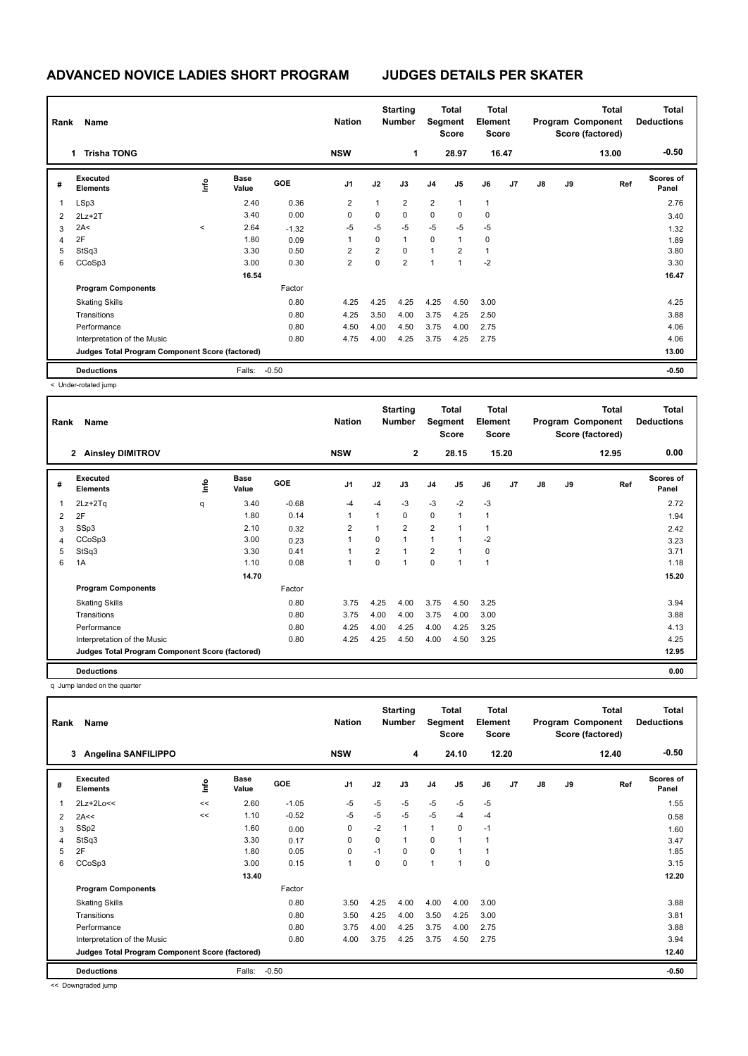## **ADVANCED NOVICE LADIES SHORT PROGRAM JUDGES DETAILS PER SKATER**

| Rank<br>Name |                                                 |           |                      |            | <b>Nation</b>  | <b>Starting</b><br><b>Number</b> |                | Total<br>Segment<br><b>Score</b> |                | <b>Total</b><br>Element<br><b>Score</b> |       | <b>Total</b><br>Program Component<br>Score (factored) |    |       | <b>Total</b><br><b>Deductions</b> |
|--------------|-------------------------------------------------|-----------|----------------------|------------|----------------|----------------------------------|----------------|----------------------------------|----------------|-----------------------------------------|-------|-------------------------------------------------------|----|-------|-----------------------------------|
|              | <b>Trisha TONG</b><br>1.                        |           |                      |            | <b>NSW</b>     |                                  | $\mathbf{1}$   |                                  | 28.97          |                                         | 16.47 |                                                       |    | 13.00 | $-0.50$                           |
| #            | Executed<br><b>Elements</b>                     | ۴         | <b>Base</b><br>Value | <b>GOE</b> | J <sub>1</sub> | J2                               | J3             | J <sub>4</sub>                   | J5             | J6                                      | J7    | J8                                                    | J9 | Ref   | <b>Scores of</b><br>Panel         |
| 1            | LSp3                                            |           | 2.40                 | 0.36       | $\overline{2}$ | 1                                | $\overline{2}$ | 2                                | 1              | $\overline{1}$                          |       |                                                       |    |       | 2.76                              |
| 2            | $2Lz+2T$                                        |           | 3.40                 | 0.00       | 0              | 0                                | $\mathbf 0$    | $\mathbf 0$                      | $\Omega$       | $\mathbf 0$                             |       |                                                       |    |       | 3.40                              |
| 3            | 2A<                                             | $\hat{~}$ | 2.64                 | $-1.32$    | $-5$           | $-5$                             | $-5$           | $-5$                             | $-5$           | $-5$                                    |       |                                                       |    |       | 1.32                              |
| 4            | 2F                                              |           | 1.80                 | 0.09       |                | $\Omega$                         | $\mathbf{1}$   | $\mathbf 0$                      | 1              | $\mathbf 0$                             |       |                                                       |    |       | 1.89                              |
| 5            | StSq3                                           |           | 3.30                 | 0.50       | 2              | $\overline{2}$                   | $\mathbf 0$    | $\mathbf{1}$                     | $\overline{2}$ | $\overline{1}$                          |       |                                                       |    |       | 3.80                              |
| 6            | CCoSp3                                          |           | 3.00                 | 0.30       | 2              | 0                                | $\overline{2}$ | $\mathbf{1}$                     | 1              | $-2$                                    |       |                                                       |    |       | 3.30                              |
|              |                                                 |           | 16.54                |            |                |                                  |                |                                  |                |                                         |       |                                                       |    |       | 16.47                             |
|              | <b>Program Components</b>                       |           |                      | Factor     |                |                                  |                |                                  |                |                                         |       |                                                       |    |       |                                   |
|              | <b>Skating Skills</b>                           |           |                      | 0.80       | 4.25           | 4.25                             | 4.25           | 4.25                             | 4.50           | 3.00                                    |       |                                                       |    |       | 4.25                              |
|              | Transitions                                     |           |                      | 0.80       | 4.25           | 3.50                             | 4.00           | 3.75                             | 4.25           | 2.50                                    |       |                                                       |    |       | 3.88                              |
|              | Performance                                     |           |                      | 0.80       | 4.50           | 4.00                             | 4.50           | 3.75                             | 4.00           | 2.75                                    |       |                                                       |    |       | 4.06                              |
|              | Interpretation of the Music                     |           |                      | 0.80       | 4.75           | 4.00                             | 4.25           | 3.75                             | 4.25           | 2.75                                    |       |                                                       |    |       | 4.06                              |
|              | Judges Total Program Component Score (factored) |           |                      |            |                |                                  |                |                                  |                |                                         |       |                                                       |    |       | 13.00                             |
|              | <b>Deductions</b>                               |           | Falls:               | $-0.50$    |                |                                  |                |                                  |                |                                         |       |                                                       |    |       | $-0.50$                           |

< Under-rotated jump

| Rank | Name                                            |             |                      |            | <b>Nation</b>  |                | <b>Starting</b><br><b>Number</b> | Segment        | Total<br>Score | <b>Total</b><br>Element<br><b>Score</b> |                |               |    | <b>Total</b><br>Program Component<br>Score (factored) | <b>Total</b><br><b>Deductions</b> |
|------|-------------------------------------------------|-------------|----------------------|------------|----------------|----------------|----------------------------------|----------------|----------------|-----------------------------------------|----------------|---------------|----|-------------------------------------------------------|-----------------------------------|
|      | <b>Ainsley DIMITROV</b><br>$\mathbf{2}$         |             |                      |            | <b>NSW</b>     |                | $\mathbf{2}$                     |                | 28.15          |                                         | 15.20          |               |    | 12.95                                                 | 0.00                              |
| #    | Executed<br><b>Elements</b>                     | <u>info</u> | <b>Base</b><br>Value | <b>GOE</b> | J <sub>1</sub> | J2             | J3                               | J <sub>4</sub> | J5             | J6                                      | J <sub>7</sub> | $\mathsf{J}8$ | J9 | Ref                                                   | <b>Scores of</b><br>Panel         |
| 1    | $2Lz + 2Tq$                                     | q           | 3.40                 | $-0.68$    | $-4$           | $-4$           | $-3$                             | $-3$           | $-2$           | $-3$                                    |                |               |    |                                                       | 2.72                              |
| 2    | 2F                                              |             | 1.80                 | 0.14       | 1              | $\mathbf{1}$   | $\mathbf 0$                      | $\mathbf 0$    | 1              | $\overline{1}$                          |                |               |    |                                                       | 1.94                              |
| 3    | SSp3                                            |             | 2.10                 | 0.32       | $\overline{2}$ | 1              | $\overline{2}$                   | $\overline{2}$ | 1              | $\overline{1}$                          |                |               |    |                                                       | 2.42                              |
| 4    | CCoSp3                                          |             | 3.00                 | 0.23       |                | 0              | $\overline{1}$                   | $\mathbf{1}$   | 1              | $-2$                                    |                |               |    |                                                       | 3.23                              |
| 5    | StSq3                                           |             | 3.30                 | 0.41       |                | $\overline{2}$ | $\overline{1}$                   | $\overline{2}$ | 1              | $\mathbf 0$                             |                |               |    |                                                       | 3.71                              |
| 6    | 1A                                              |             | 1.10                 | 0.08       | 1              | 0              | -1                               | $\mathbf 0$    | 1              | $\overline{1}$                          |                |               |    |                                                       | 1.18                              |
|      |                                                 |             | 14.70                |            |                |                |                                  |                |                |                                         |                |               |    |                                                       | 15.20                             |
|      | <b>Program Components</b>                       |             |                      | Factor     |                |                |                                  |                |                |                                         |                |               |    |                                                       |                                   |
|      | <b>Skating Skills</b>                           |             |                      | 0.80       | 3.75           | 4.25           | 4.00                             | 3.75           | 4.50           | 3.25                                    |                |               |    |                                                       | 3.94                              |
|      | Transitions                                     |             |                      | 0.80       | 3.75           | 4.00           | 4.00                             | 3.75           | 4.00           | 3.00                                    |                |               |    |                                                       | 3.88                              |
|      | Performance                                     |             |                      | 0.80       | 4.25           | 4.00           | 4.25                             | 4.00           | 4.25           | 3.25                                    |                |               |    |                                                       | 4.13                              |
|      | Interpretation of the Music                     |             |                      | 0.80       | 4.25           | 4.25           | 4.50                             | 4.00           | 4.50           | 3.25                                    |                |               |    |                                                       | 4.25                              |
|      | Judges Total Program Component Score (factored) |             |                      |            |                |                |                                  |                |                |                                         |                |               |    |                                                       | 12.95                             |
|      | <b>Deductions</b>                               |             |                      |            |                |                |                                  |                |                |                                         |                |               |    |                                                       | 0.00                              |

q Jump landed on the quarter

| Rank | Name                                            |      |                      |         | <b>Nation</b>  |          | <b>Starting</b><br><b>Number</b> |                | Total<br>Segment<br><b>Score</b> | <b>Total</b><br>Element<br><b>Score</b> |       | Total<br>Program Component<br>Score (factored) |    |       | Total<br><b>Deductions</b> |
|------|-------------------------------------------------|------|----------------------|---------|----------------|----------|----------------------------------|----------------|----------------------------------|-----------------------------------------|-------|------------------------------------------------|----|-------|----------------------------|
|      | <b>Angelina SANFILIPPO</b><br>3                 |      |                      |         | <b>NSW</b>     |          | 4                                |                | 24.10                            |                                         | 12.20 |                                                |    | 12.40 | $-0.50$                    |
| #    | Executed<br><b>Elements</b>                     | ١nf٥ | <b>Base</b><br>Value | GOE     | J <sub>1</sub> | J2       | J3                               | J <sub>4</sub> | J <sub>5</sub>                   | J6                                      | J7    | J8                                             | J9 | Ref   | <b>Scores of</b><br>Panel  |
|      | 2Lz+2Lo<<                                       | <<   | 2.60                 | $-1.05$ | -5             | $-5$     | $-5$                             | $-5$           | $-5$                             | $-5$                                    |       |                                                |    |       | 1.55                       |
| 2    | 2A<<                                            | <<   | 1.10                 | $-0.52$ | -5             | $-5$     | $-5$                             | $-5$           | $-4$                             | $-4$                                    |       |                                                |    |       | 0.58                       |
| 3    | SSp2                                            |      | 1.60                 | 0.00    | 0              | $-2$     | 1                                | $\mathbf{1}$   | 0                                | $-1$                                    |       |                                                |    |       | 1.60                       |
| 4    | StSq3                                           |      | 3.30                 | 0.17    | 0              | 0        | 1                                | $\mathbf 0$    | $\mathbf{1}$                     | $\mathbf{1}$                            |       |                                                |    |       | 3.47                       |
| 5    | 2F                                              |      | 1.80                 | 0.05    | 0              | $-1$     | 0                                | $\mathbf 0$    |                                  | $\mathbf{1}$                            |       |                                                |    |       | 1.85                       |
| 6    | CCoSp3                                          |      | 3.00                 | 0.15    | $\mathbf{1}$   | $\Omega$ | $\Omega$                         | $\overline{1}$ | 1                                | $\mathbf 0$                             |       |                                                |    |       | 3.15                       |
|      |                                                 |      | 13.40                |         |                |          |                                  |                |                                  |                                         |       |                                                |    |       | 12.20                      |
|      | <b>Program Components</b>                       |      |                      | Factor  |                |          |                                  |                |                                  |                                         |       |                                                |    |       |                            |
|      | <b>Skating Skills</b>                           |      |                      | 0.80    | 3.50           | 4.25     | 4.00                             | 4.00           | 4.00                             | 3.00                                    |       |                                                |    |       | 3.88                       |
|      | Transitions                                     |      |                      | 0.80    | 3.50           | 4.25     | 4.00                             | 3.50           | 4.25                             | 3.00                                    |       |                                                |    |       | 3.81                       |
|      | Performance                                     |      |                      | 0.80    | 3.75           | 4.00     | 4.25                             | 3.75           | 4.00                             | 2.75                                    |       |                                                |    |       | 3.88                       |
|      | Interpretation of the Music                     |      |                      | 0.80    | 4.00           | 3.75     | 4.25                             | 3.75           | 4.50                             | 2.75                                    |       |                                                |    |       | 3.94                       |
|      | Judges Total Program Component Score (factored) |      |                      |         |                |          |                                  |                |                                  |                                         |       |                                                |    |       | 12.40                      |
|      | <b>Deductions</b>                               |      | Falls:               | $-0.50$ |                |          |                                  |                |                                  |                                         |       |                                                |    |       | $-0.50$                    |

<< Downgraded jump